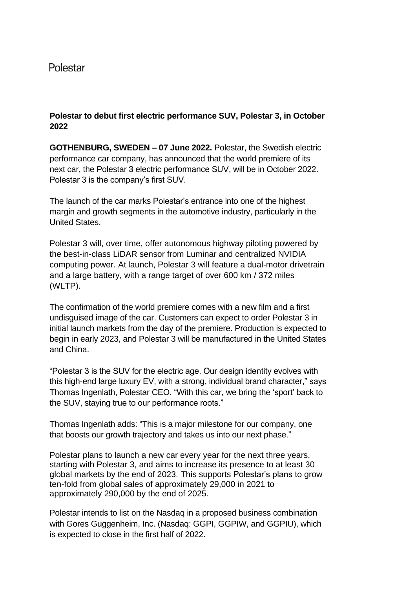# Polestar

## **Polestar to debut first electric performance SUV, Polestar 3, in October 2022**

**GOTHENBURG, SWEDEN – 07 June 2022.** Polestar, the Swedish electric performance car company, has announced that the world premiere of its next car, the Polestar 3 electric performance SUV, will be in October 2022. Polestar 3 is the company's first SUV.

The launch of the car marks Polestar's entrance into one of the highest margin and growth segments in the automotive industry, particularly in the United States.

Polestar 3 will, over time, offer autonomous highway piloting powered by the best-in-class LiDAR sensor from Luminar and centralized NVIDIA computing power. At launch, Polestar 3 will feature a dual-motor drivetrain and a large battery, with a range target of over 600 km / 372 miles (WLTP).

The confirmation of the world premiere comes with a new film and a first undisguised image of the car. Customers can expect to order Polestar 3 in initial launch markets from the day of the premiere. Production is expected to begin in early 2023, and Polestar 3 will be manufactured in the United States and China.

"Polestar 3 is the SUV for the electric age. Our design identity evolves with this high-end large luxury EV, with a strong, individual brand character," says Thomas Ingenlath, Polestar CEO. "With this car, we bring the 'sport' back to the SUV, staying true to our performance roots."

Thomas Ingenlath adds: "This is a major milestone for our company, one that boosts our growth trajectory and takes us into our next phase."

Polestar plans to launch a new car every year for the next three years, starting with Polestar 3, and aims to increase its presence to at least 30 global markets by the end of 2023. This supports Polestar's plans to grow ten-fold from global sales of approximately 29,000 in 2021 to approximately 290,000 by the end of 2025.

Polestar intends to list on the Nasdaq in a proposed business combination with Gores Guggenheim, Inc. (Nasdaq: GGPI, GGPIW, and GGPIU), which is expected to close in the first half of 2022.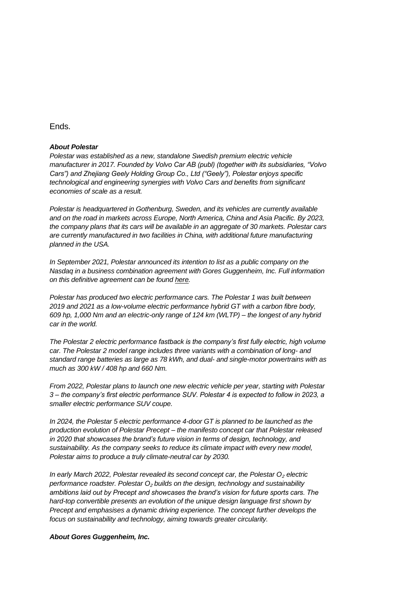## Ends.

#### *About Polestar*

*Polestar was established as a new, standalone Swedish premium electric vehicle manufacturer in 2017. Founded by Volvo Car AB (publ) (together with its subsidiaries, "Volvo Cars") and Zhejiang Geely Holding Group Co., Ltd ("Geely"), Polestar enjoys specific technological and engineering synergies with Volvo Cars and benefits from significant economies of scale as a result.* 

*Polestar is headquartered in Gothenburg, Sweden, and its vehicles are currently available and on the road in markets across Europe, North America, China and Asia Pacific. By 2023, the company plans that its cars will be available in an aggregate of 30 markets. Polestar cars are currently manufactured in two facilities in China, with additional future manufacturing planned in the USA.*

*In September 2021, Polestar announced its intention to list as a public company on the Nasdaq in a business combination agreement with Gores Guggenheim, Inc. Full information on this definitive agreement can be found [here.](https://media.polestar.com/global/en/media/pressreleases/638625)*

*Polestar has produced two electric performance cars. The Polestar 1 was built between 2019 and 2021 as a low-volume electric performance hybrid GT with a carbon fibre body, 609 hp, 1,000 Nm and an electric-only range of 124 km (WLTP) – the longest of any hybrid car in the world.* 

*The Polestar 2 electric performance fastback is the company's first fully electric, high volume car. The Polestar 2 model range includes three variants with a combination of long- and standard range batteries as large as 78 kWh, and dual- and single-motor powertrains with as much as 300 kW / 408 hp and 660 Nm.*

*From 2022, Polestar plans to launch one new electric vehicle per year, starting with Polestar 3 – the company's first electric performance SUV. Polestar 4 is expected to follow in 2023, a smaller electric performance SUV coupe.* 

*In 2024, the Polestar 5 electric performance 4-door GT is planned to be launched as the production evolution of Polestar Precept – the manifesto concept car that Polestar released in 2020 that showcases the brand's future vision in terms of design, technology, and sustainability. As the company seeks to reduce its climate impact with every new model, Polestar aims to produce a truly climate-neutral car by 2030.*

*In early March 2022, Polestar revealed its second concept car, the Polestar O<sub>2</sub> electric performance roadster. Polestar O*₂ *builds on the design, technology and sustainability ambitions laid out by Precept and showcases the brand's vision for future sports cars. The hard-top convertible presents an evolution of the unique design language first shown by Precept and emphasises a dynamic driving experience. The concept further develops the focus on sustainability and technology, aiming towards greater circularity.*

*About Gores Guggenheim, Inc.*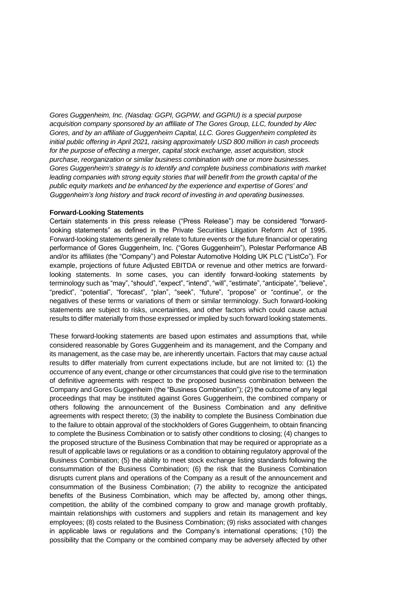*Gores Guggenheim, Inc. (Nasdaq: GGPI, GGPIW, and GGPIU) is a special purpose acquisition company sponsored by an affiliate of The Gores Group, LLC, founded by Alec Gores, and by an affiliate of Guggenheim Capital, LLC. Gores Guggenheim completed its initial public offering in April 2021, raising approximately USD 800 million in cash proceeds for the purpose of effecting a merger, capital stock exchange, asset acquisition, stock purchase, reorganization or similar business combination with one or more businesses.*  Gores Guggenheim's strategy is to identify and complete business combinations with market *leading companies with strong equity stories that will benefit from the growth capital of the public equity markets and be enhanced by the experience and expertise of Gores' and Guggenheim's long history and track record of investing in and operating businesses.*

#### **Forward-Looking Statements**

Certain statements in this press release ("Press Release") may be considered "forwardlooking statements" as defined in the Private Securities Litigation Reform Act of 1995. Forward-looking statements generally relate to future events or the future financial or operating performance of Gores Guggenheim, Inc. ("Gores Guggenheim"), Polestar Performance AB and/or its affiliates (the "Company") and Polestar Automotive Holding UK PLC ("ListCo"). For example, projections of future Adjusted EBITDA or revenue and other metrics are forwardlooking statements. In some cases, you can identify forward-looking statements by terminology such as "may", "should", "expect", "intend", "will", "estimate", "anticipate", "believe", "predict", "potential", "forecast", "plan", "seek", "future", "propose" or "continue", or the negatives of these terms or variations of them or similar terminology. Such forward-looking statements are subject to risks, uncertainties, and other factors which could cause actual results to differ materially from those expressed or implied by such forward looking statements.

These forward-looking statements are based upon estimates and assumptions that, while considered reasonable by Gores Guggenheim and its management, and the Company and its management, as the case may be, are inherently uncertain. Factors that may cause actual results to differ materially from current expectations include, but are not limited to: (1) the occurrence of any event, change or other circumstances that could give rise to the termination of definitive agreements with respect to the proposed business combination between the Company and Gores Guggenheim (the "Business Combination"); (2) the outcome of any legal proceedings that may be instituted against Gores Guggenheim, the combined company or others following the announcement of the Business Combination and any definitive agreements with respect thereto; (3) the inability to complete the Business Combination due to the failure to obtain approval of the stockholders of Gores Guggenheim, to obtain financing to complete the Business Combination or to satisfy other conditions to closing; (4) changes to the proposed structure of the Business Combination that may be required or appropriate as a result of applicable laws or regulations or as a condition to obtaining regulatory approval of the Business Combination; (5) the ability to meet stock exchange listing standards following the consummation of the Business Combination; (6) the risk that the Business Combination disrupts current plans and operations of the Company as a result of the announcement and consummation of the Business Combination; (7) the ability to recognize the anticipated benefits of the Business Combination, which may be affected by, among other things, competition, the ability of the combined company to grow and manage growth profitably, maintain relationships with customers and suppliers and retain its management and key employees; (8) costs related to the Business Combination; (9) risks associated with changes in applicable laws or regulations and the Company's international operations; (10) the possibility that the Company or the combined company may be adversely affected by other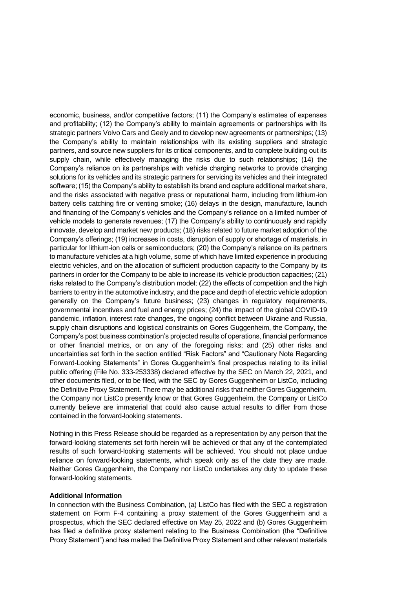economic, business, and/or competitive factors; (11) the Company's estimates of expenses and profitability; (12) the Company's ability to maintain agreements or partnerships with its strategic partners Volvo Cars and Geely and to develop new agreements or partnerships; (13) the Company's ability to maintain relationships with its existing suppliers and strategic partners, and source new suppliers for its critical components, and to complete building out its supply chain, while effectively managing the risks due to such relationships; (14) the Company's reliance on its partnerships with vehicle charging networks to provide charging solutions for its vehicles and its strategic partners for servicing its vehicles and their integrated software; (15) the Company's ability to establish its brand and capture additional market share, and the risks associated with negative press or reputational harm, including from lithium-ion battery cells catching fire or venting smoke; (16) delays in the design, manufacture, launch and financing of the Company's vehicles and the Company's reliance on a limited number of vehicle models to generate revenues; (17) the Company's ability to continuously and rapidly innovate, develop and market new products; (18) risks related to future market adoption of the Company's offerings; (19) increases in costs, disruption of supply or shortage of materials, in particular for lithium-ion cells or semiconductors; (20) the Company's reliance on its partners to manufacture vehicles at a high volume, some of which have limited experience in producing electric vehicles, and on the allocation of sufficient production capacity to the Company by its partners in order for the Company to be able to increase its vehicle production capacities; (21) risks related to the Company's distribution model; (22) the effects of competition and the high barriers to entry in the automotive industry, and the pace and depth of electric vehicle adoption generally on the Company's future business; (23) changes in regulatory requirements, governmental incentives and fuel and energy prices; (24) the impact of the global COVID-19 pandemic, inflation, interest rate changes, the ongoing conflict between Ukraine and Russia, supply chain disruptions and logistical constraints on Gores Guggenheim, the Company, the Company's post business combination's projected results of operations, financial performance or other financial metrics, or on any of the foregoing risks; and (25) other risks and uncertainties set forth in the section entitled "Risk Factors" and "Cautionary Note Regarding Forward-Looking Statements" in Gores Guggenheim's final prospectus relating to its initial public offering (File No. 333-253338) declared effective by the SEC on March 22, 2021, and other documents filed, or to be filed, with the SEC by Gores Guggenheim or ListCo, including the Definitive Proxy Statement. There may be additional risks that neither Gores Guggenheim, the Company nor ListCo presently know or that Gores Guggenheim, the Company or ListCo currently believe are immaterial that could also cause actual results to differ from those contained in the forward-looking statements.

Nothing in this Press Release should be regarded as a representation by any person that the forward-looking statements set forth herein will be achieved or that any of the contemplated results of such forward-looking statements will be achieved. You should not place undue reliance on forward-looking statements, which speak only as of the date they are made. Neither Gores Guggenheim, the Company nor ListCo undertakes any duty to update these forward-looking statements.

#### **Additional Information**

In connection with the Business Combination, (a) ListCo has filed with the SEC a registration statement on Form F-4 containing a proxy statement of the Gores Guggenheim and a prospectus, which the SEC declared effective on May 25, 2022 and (b) Gores Guggenheim has filed a definitive proxy statement relating to the Business Combination (the "Definitive Proxy Statement") and has mailed the Definitive Proxy Statement and other relevant materials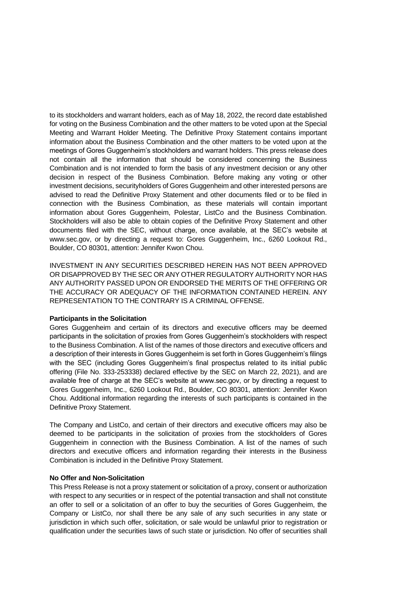to its stockholders and warrant holders, each as of May 18, 2022, the record date established for voting on the Business Combination and the other matters to be voted upon at the Special Meeting and Warrant Holder Meeting. The Definitive Proxy Statement contains important information about the Business Combination and the other matters to be voted upon at the meetings of Gores Guggenheim's stockholders and warrant holders. This press release does not contain all the information that should be considered concerning the Business Combination and is not intended to form the basis of any investment decision or any other decision in respect of the Business Combination. Before making any voting or other investment decisions, securityholders of Gores Guggenheim and other interested persons are advised to read the Definitive Proxy Statement and other documents filed or to be filed in connection with the Business Combination, as these materials will contain important information about Gores Guggenheim, Polestar, ListCo and the Business Combination. Stockholders will also be able to obtain copies of the Definitive Proxy Statement and other documents filed with the SEC, without charge, once available, at the SEC's website at www.sec.gov, or by directing a request to: Gores Guggenheim, Inc., 6260 Lookout Rd., Boulder, CO 80301, attention: Jennifer Kwon Chou.

INVESTMENT IN ANY SECURITIES DESCRIBED HEREIN HAS NOT BEEN APPROVED OR DISAPPROVED BY THE SEC OR ANY OTHER REGULATORY AUTHORITY NOR HAS ANY AUTHORITY PASSED UPON OR ENDORSED THE MERITS OF THE OFFERING OR THE ACCURACY OR ADEQUACY OF THE INFORMATION CONTAINED HEREIN. ANY REPRESENTATION TO THE CONTRARY IS A CRIMINAL OFFENSE.

#### **Participants in the Solicitation**

Gores Guggenheim and certain of its directors and executive officers may be deemed participants in the solicitation of proxies from Gores Guggenheim's stockholders with respect to the Business Combination. A list of the names of those directors and executive officers and a description of their interests in Gores Guggenheim is set forth in Gores Guggenheim's filings with the SEC (including Gores Guggenheim's final prospectus related to its initial public offering (File No. 333-253338) declared effective by the SEC on March 22, 2021), and are available free of charge at the SEC's website at www.sec.gov, or by directing a request to Gores Guggenheim, Inc., 6260 Lookout Rd., Boulder, CO 80301, attention: Jennifer Kwon Chou. Additional information regarding the interests of such participants is contained in the Definitive Proxy Statement.

The Company and ListCo, and certain of their directors and executive officers may also be deemed to be participants in the solicitation of proxies from the stockholders of Gores Guggenheim in connection with the Business Combination. A list of the names of such directors and executive officers and information regarding their interests in the Business Combination is included in the Definitive Proxy Statement.

### **No Offer and Non-Solicitation**

This Press Release is not a proxy statement or solicitation of a proxy, consent or authorization with respect to any securities or in respect of the potential transaction and shall not constitute an offer to sell or a solicitation of an offer to buy the securities of Gores Guggenheim, the Company or ListCo, nor shall there be any sale of any such securities in any state or jurisdiction in which such offer, solicitation, or sale would be unlawful prior to registration or qualification under the securities laws of such state or jurisdiction. No offer of securities shall